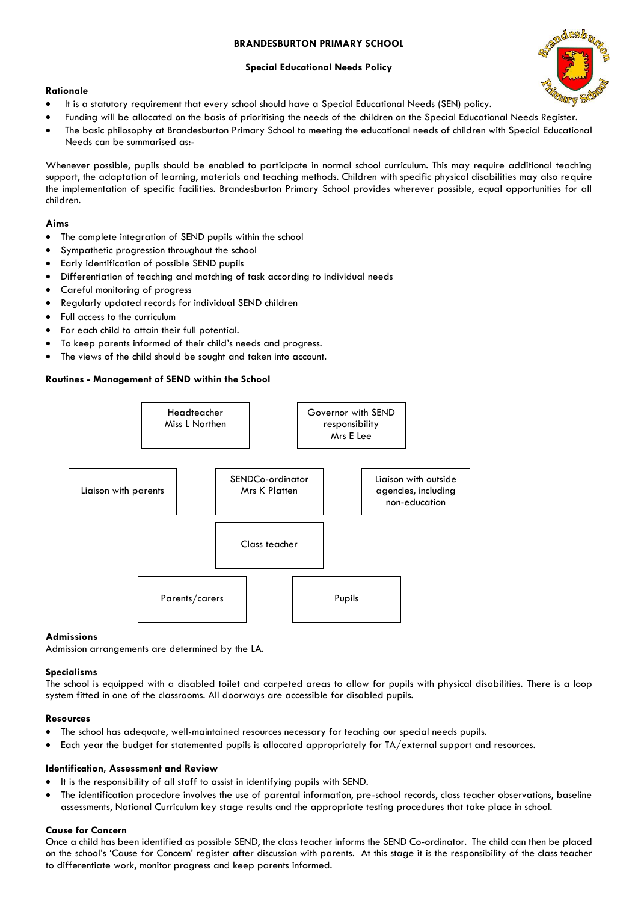# **BRANDESBURTON PRIMARY SCHOOL**

## **Special Educational Needs Policy**



- It is a statutory requirement that every school should have a Special Educational Needs (SEN) policy.
- Funding will be allocated on the basis of prioritising the needs of the children on the Special Educational Needs Register.
- The basic philosophy at Brandesburton Primary School to meeting the educational needs of children with Special Educational Needs can be summarised as:-

Whenever possible, pupils should be enabled to participate in normal school curriculum. This may require additional teaching support, the adaptation of learning, materials and teaching methods. Children with specific physical disabilities may also require the implementation of specific facilities. Brandesburton Primary School provides wherever possible, equal opportunities for all children.

## **Aims**

- The complete integration of SEND pupils within the school
- Sympathetic progression throughout the school
- Early identification of possible SEND pupils
- Differentiation of teaching and matching of task according to individual needs
- Careful monitoring of progress
- Regularly updated records for individual SEND children
- Full access to the curriculum
- For each child to attain their full potential.
- To keep parents informed of their child's needs and progress.
- The views of the child should be sought and taken into account.

## **Routines - Management of SEND within the School**



### **Admissions**

Admission arrangements are determined by the LA.

### **Specialisms**

The school is equipped with a disabled toilet and carpeted areas to allow for pupils with physical disabilities. There is a loop system fitted in one of the classrooms. All doorways are accessible for disabled pupils.

### **Resources**

- The school has adequate, well-maintained resources necessary for teaching our special needs pupils.
- Each year the budget for statemented pupils is allocated appropriately for TA/external support and resources.

### **Identification, Assessment and Review**

- It is the responsibility of all staff to assist in identifying pupils with SEND.
- The identification procedure involves the use of parental information, pre-school records, class teacher observations, baseline assessments, National Curriculum key stage results and the appropriate testing procedures that take place in school.

### **Cause for Concern**

Once a child has been identified as possible SEND, the class teacher informs the SEND Co-ordinator. The child can then be placed on the school's 'Cause for Concern' register after discussion with parents. At this stage it is the responsibility of the class teacher to differentiate work, monitor progress and keep parents informed.

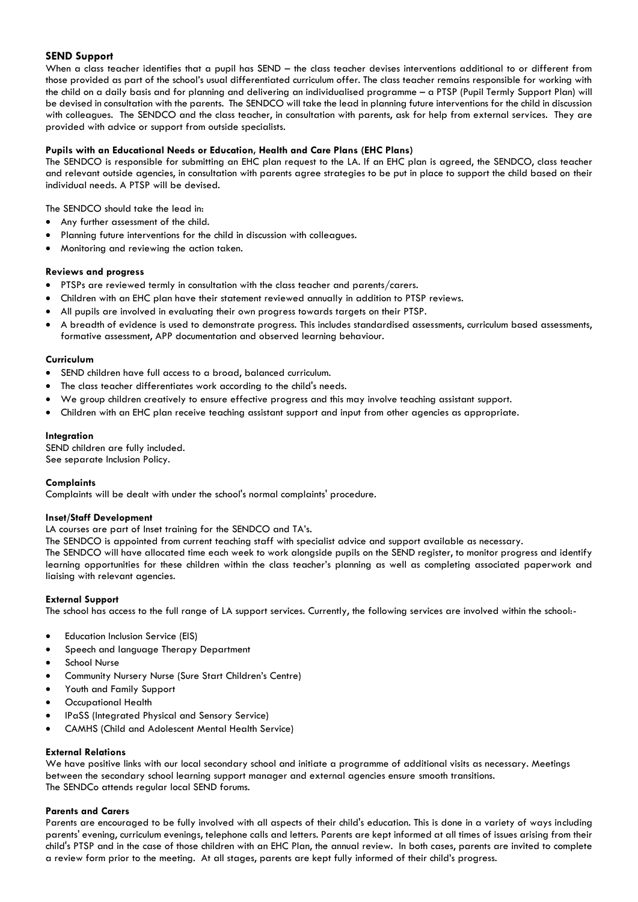# **SEND Support**

When a class teacher identifies that a pupil has SEND – the class teacher devises interventions additional to or different from those provided as part of the school's usual differentiated curriculum offer. The class teacher remains responsible for working with the child on a daily basis and for planning and delivering an individualised programme – a PTSP (Pupil Termly Support Plan) will be devised in consultation with the parents. The SENDCO will take the lead in planning future interventions for the child in discussion with colleagues. The SENDCO and the class teacher, in consultation with parents, ask for help from external services. They are provided with advice or support from outside specialists.

## **Pupils with an Educational Needs or Education, Health and Care Plans (EHC Plans)**

The SENDCO is responsible for submitting an EHC plan request to the LA. If an EHC plan is agreed, the SENDCO, class teacher and relevant outside agencies, in consultation with parents agree strategies to be put in place to support the child based on their individual needs. A PTSP will be devised.

The SENDCO should take the lead in:

- Any further assessment of the child.
- Planning future interventions for the child in discussion with colleagues.
- Monitoring and reviewing the action taken.

### **Reviews and progress**

- PTSPs are reviewed termly in consultation with the class teacher and parents/carers.
- Children with an EHC plan have their statement reviewed annually in addition to PTSP reviews.
- All pupils are involved in evaluating their own progress towards targets on their PTSP.
- A breadth of evidence is used to demonstrate progress. This includes standardised assessments, curriculum based assessments, formative assessment, APP documentation and observed learning behaviour.

### **Curriculum**

- SEND children have full access to a broad, balanced curriculum.
- The class teacher differentiates work according to the child's needs.
- We group children creatively to ensure effective progress and this may involve teaching assistant support.
- Children with an EHC plan receive teaching assistant support and input from other agencies as appropriate.

### **Integration**

SEND children are fully included. See separate Inclusion Policy.

### **Complaints**

Complaints will be dealt with under the school's normal complaints' procedure.

### **Inset/Staff Development**

LA courses are part of Inset training for the SENDCO and TA's.

The SENDCO is appointed from current teaching staff with specialist advice and support available as necessary.

The SENDCO will have allocated time each week to work alongside pupils on the SEND register, to monitor progress and identify learning opportunities for these children within the class teacher's planning as well as completing associated paperwork and liaising with relevant agencies.

## **External Support**

The school has access to the full range of LA support services. Currently, the following services are involved within the school:-

- Education Inclusion Service (EIS)
- Speech and language Therapy Department
- School Nurse
- Community Nursery Nurse (Sure Start Children's Centre)
- Youth and Family Support
- Occupational Health
- IPaSS (Integrated Physical and Sensory Service)
- CAMHS (Child and Adolescent Mental Health Service)

### **External Relations**

We have positive links with our local secondary school and initiate a programme of additional visits as necessary. Meetings between the secondary school learning support manager and external agencies ensure smooth transitions. The SENDCo attends regular local SEND forums.

### **Parents and Carers**

Parents are encouraged to be fully involved with all aspects of their child's education. This is done in a variety of ways including parents' evening, curriculum evenings, telephone calls and letters. Parents are kept informed at all times of issues arising from their child's PTSP and in the case of those children with an EHC Plan, the annual review. In both cases, parents are invited to complete a review form prior to the meeting. At all stages, parents are kept fully informed of their child's progress.